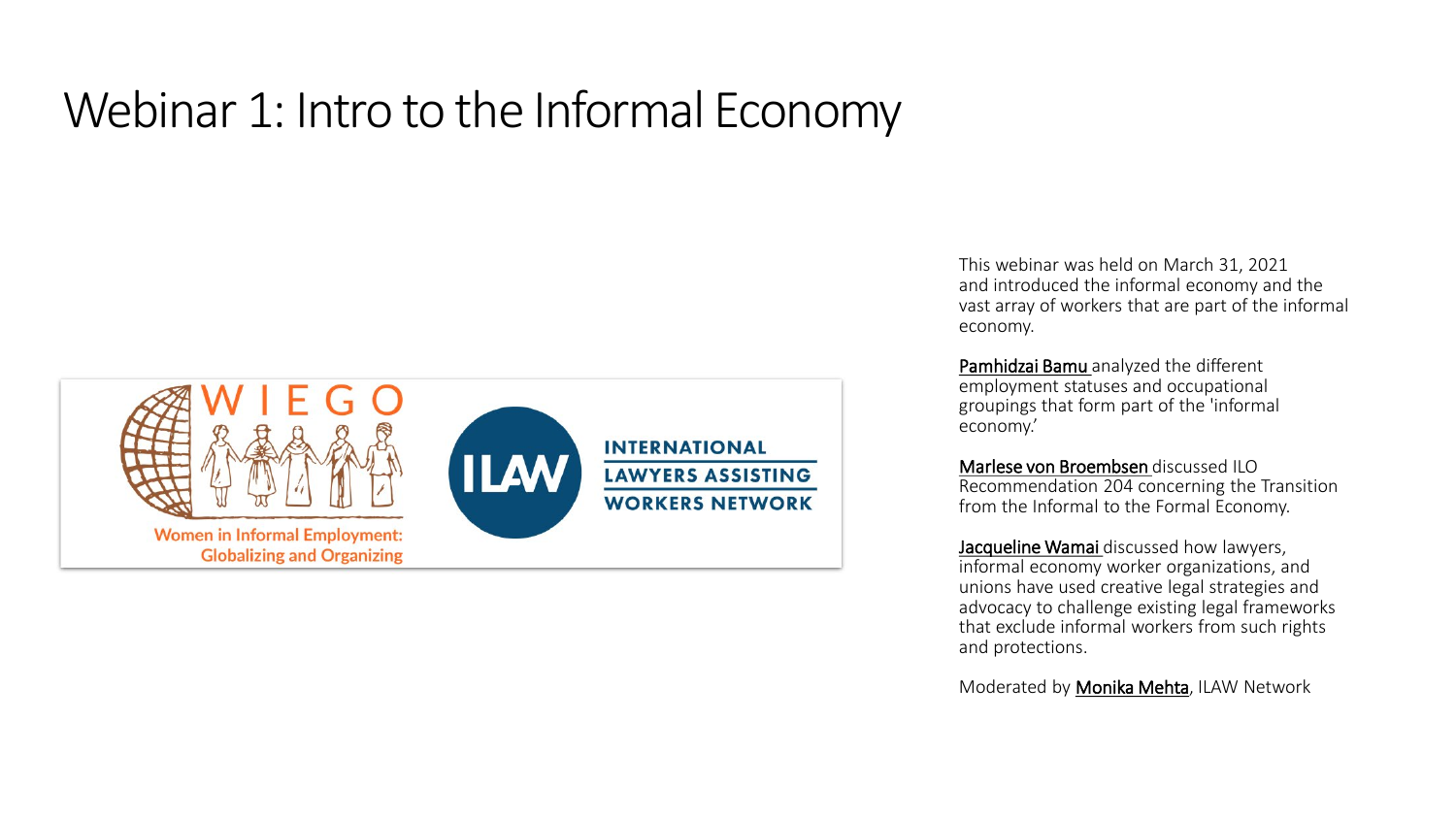#### Webinar 1: Intro to the Informal Economy



This webinar was held on March 31, 2021 and introduced the informal economy and the vast array of workers that are part of the informal economy.

Pamhidzai Bamu analyzed the different employment statuses and occupational groupings that form part of the 'informal economy.'

Marlese von Broembsen discussed ILO Recommendation 204 concerning the Transition from the Informal to the Formal Economy.

Jacqueline Wamai discussed how lawyers, informal economy worker organizations, and unions have used creative legal strategies and advocacy to challenge existing legal frameworks that exclude informal workers from such rights and protections.

Moderated by Monika Mehta, ILAW Network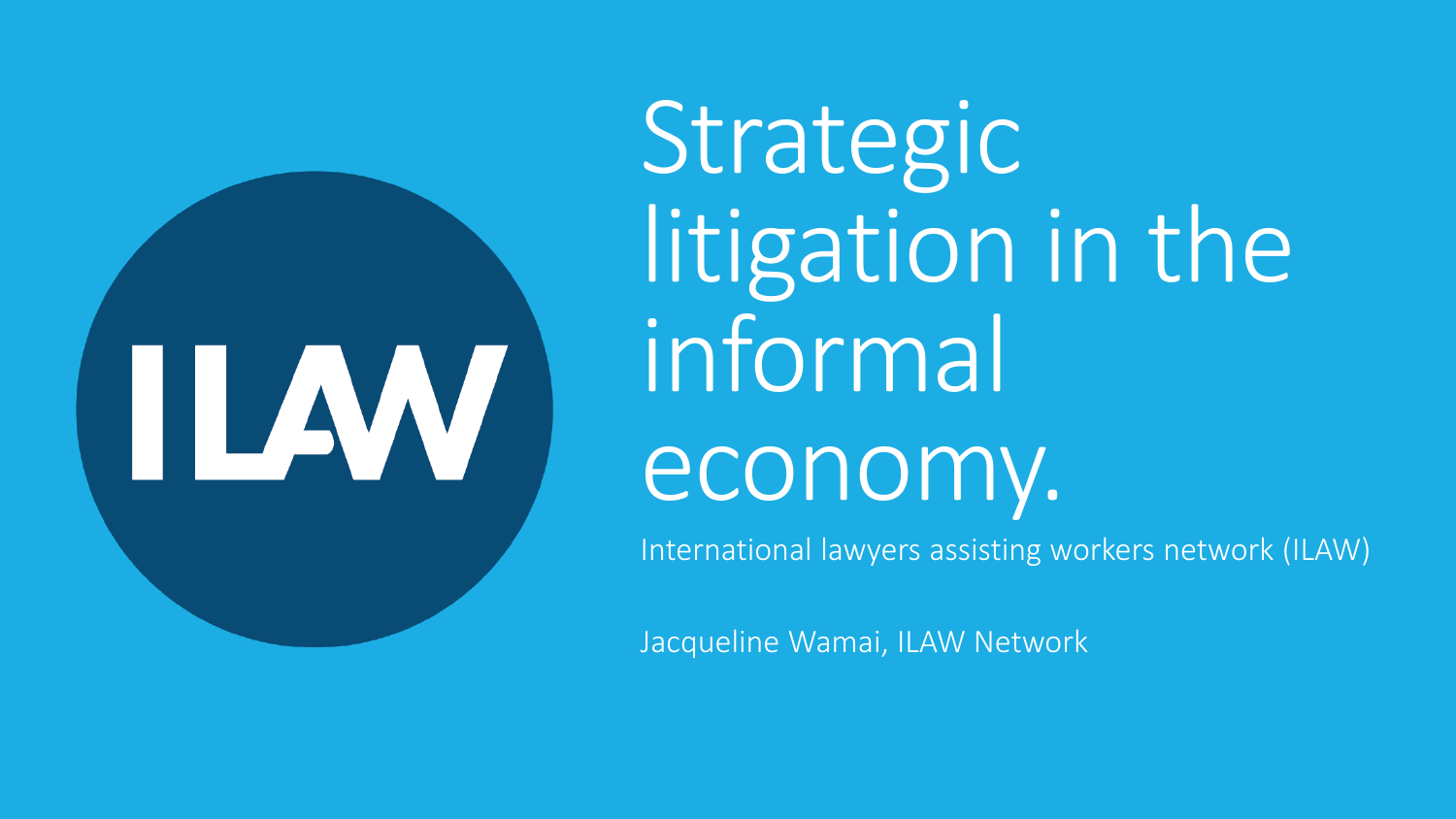### Strategic litigation in the informal ILAW economy. International lawyers assisting workers network (ILAW)

Jacqueline Wamai, ILAW Network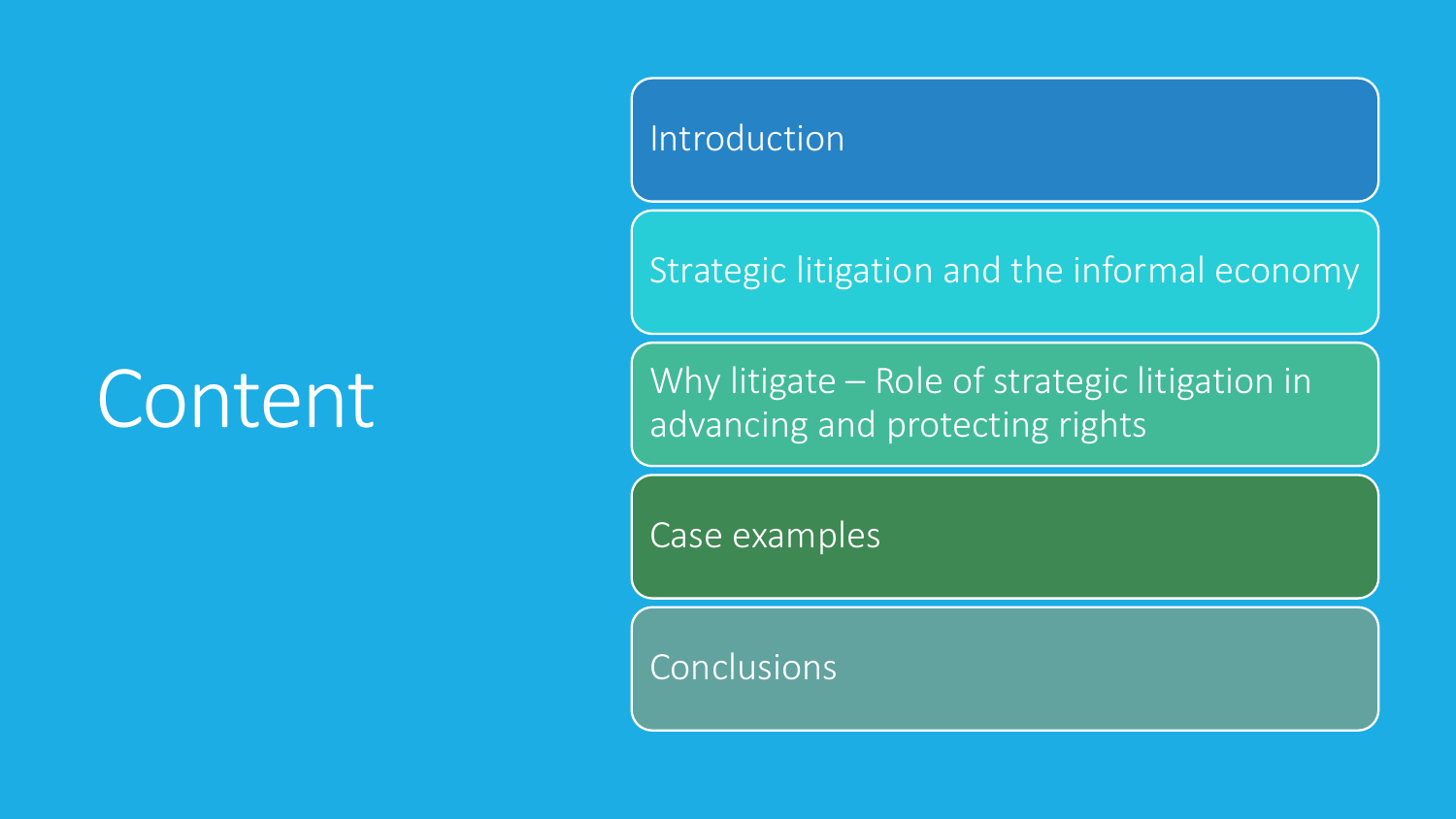## Content

#### Introduction

Strategic litigation and the informal economy

Why litigate – Role of strategic litigation in advancing and protecting rights

Case examples

Conclusions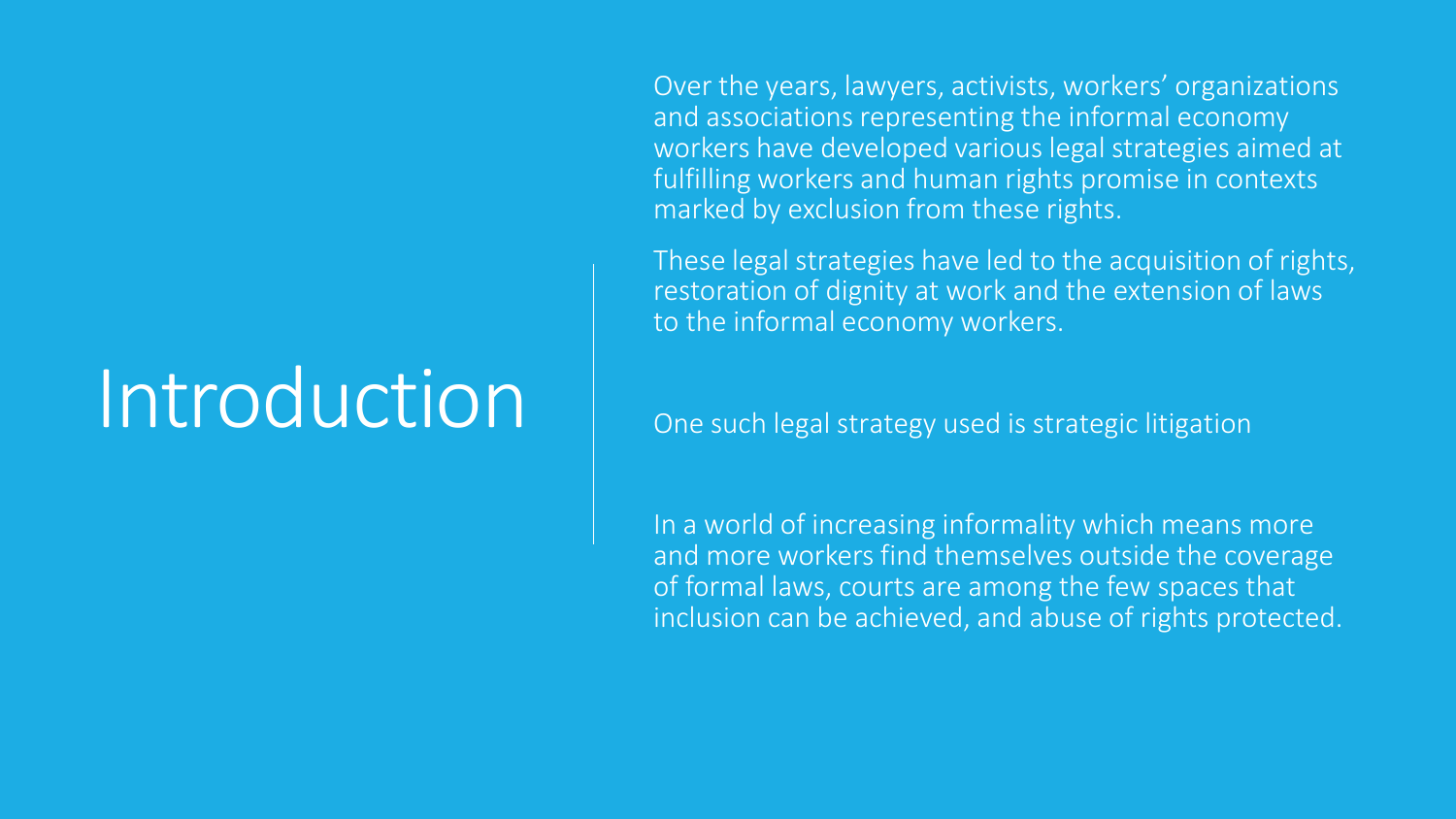## Introduction

Over the years, lawyers, activists, workers' organizations and associations representing the informal economy workers have developed various legal strategies aimed at fulfilling workers and human rights promise in contexts marked by exclusion from these rights.

These legal strategies have led to the acquisition of rights, restoration of dignity at work and the extension of laws to the informal economy workers.

One such legal strategy used is strategic litigation

In a world of increasing informality which means more and more workers find themselves outside the coverage of formal laws, courts are among the few spaces that inclusion can be achieved, and abuse of rights protected.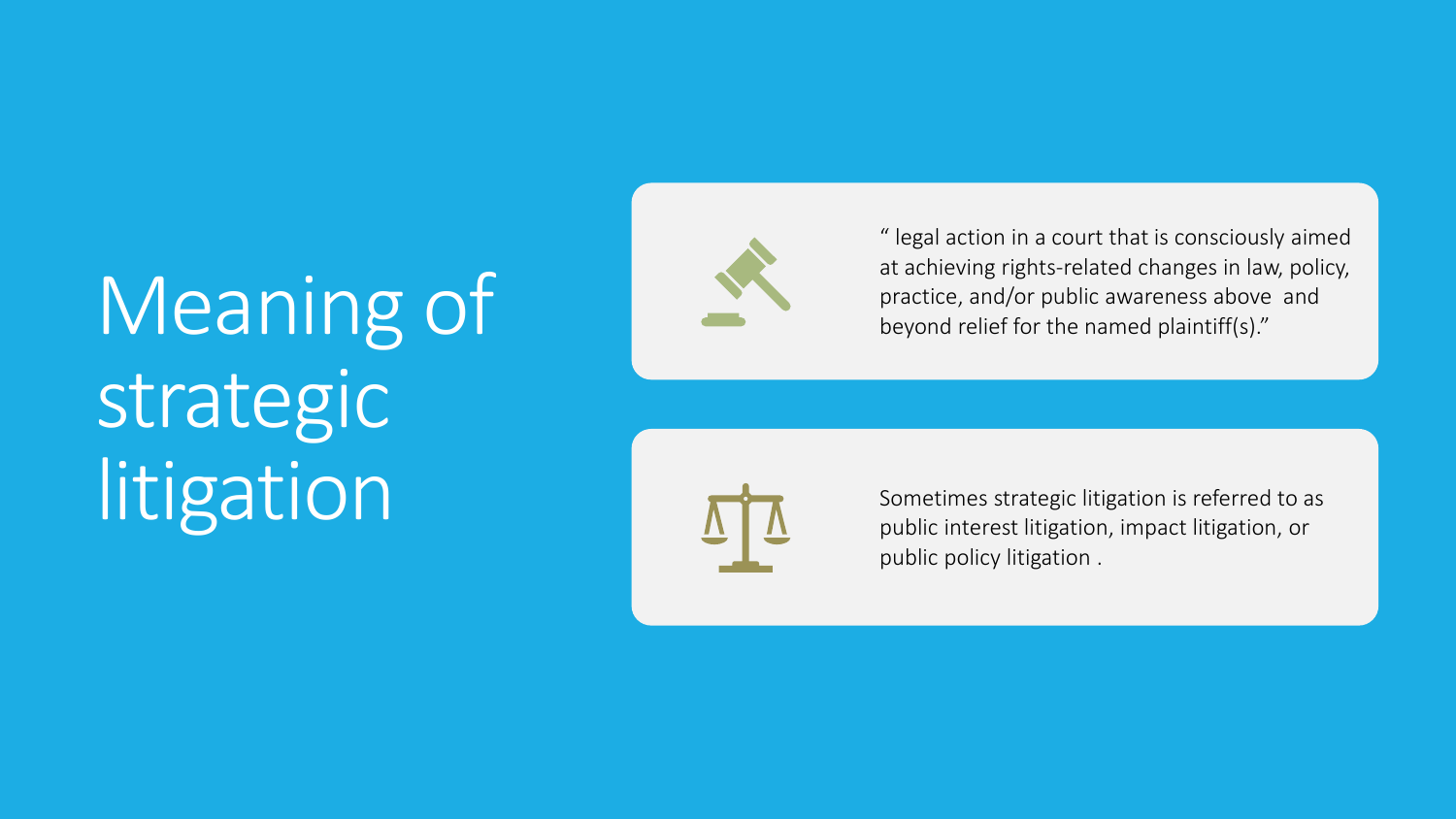# Meaning of strategic **litigation**



" legal action in a court that is consciously aimed at achieving rights -related changes in law, policy, practice, and/or public awareness above and beyond relief for the named plaintiff(s)."



Sometimes strategic litigation is referred to as public interest litigation, impact litigation, or public policy litigation .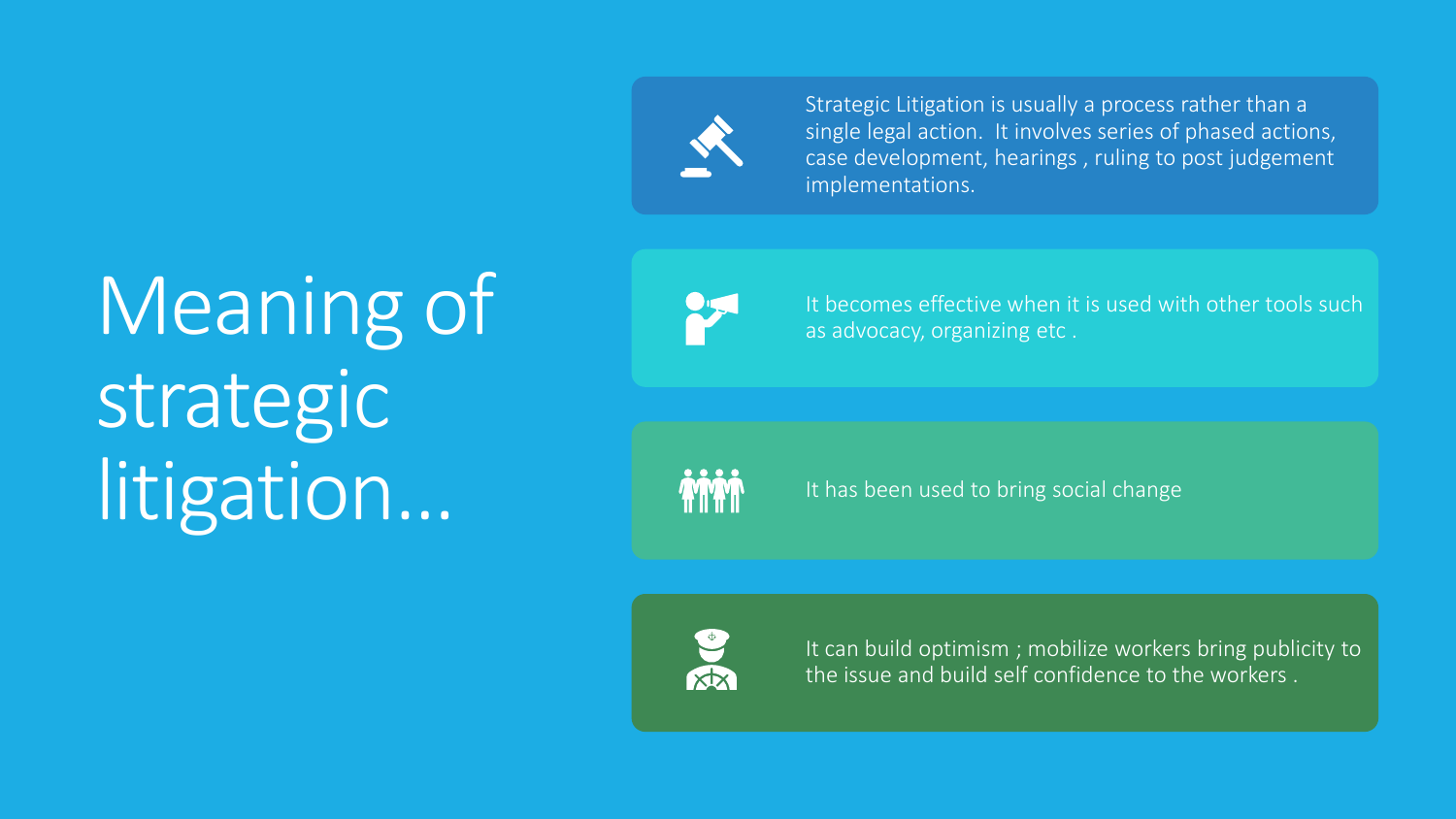

Strategic Litigation is usually a process rather than a single legal action. It involves series of phased actions, case development, hearings , ruling to post judgement implementations.

# Meaning of strategic litigation…



It becomes effective when it is used with other tools such as advocacy, organizing etc .



It has been used to bring social change



It can build optimism ; mobilize workers bring publicity to the issue and build self confidence to the workers .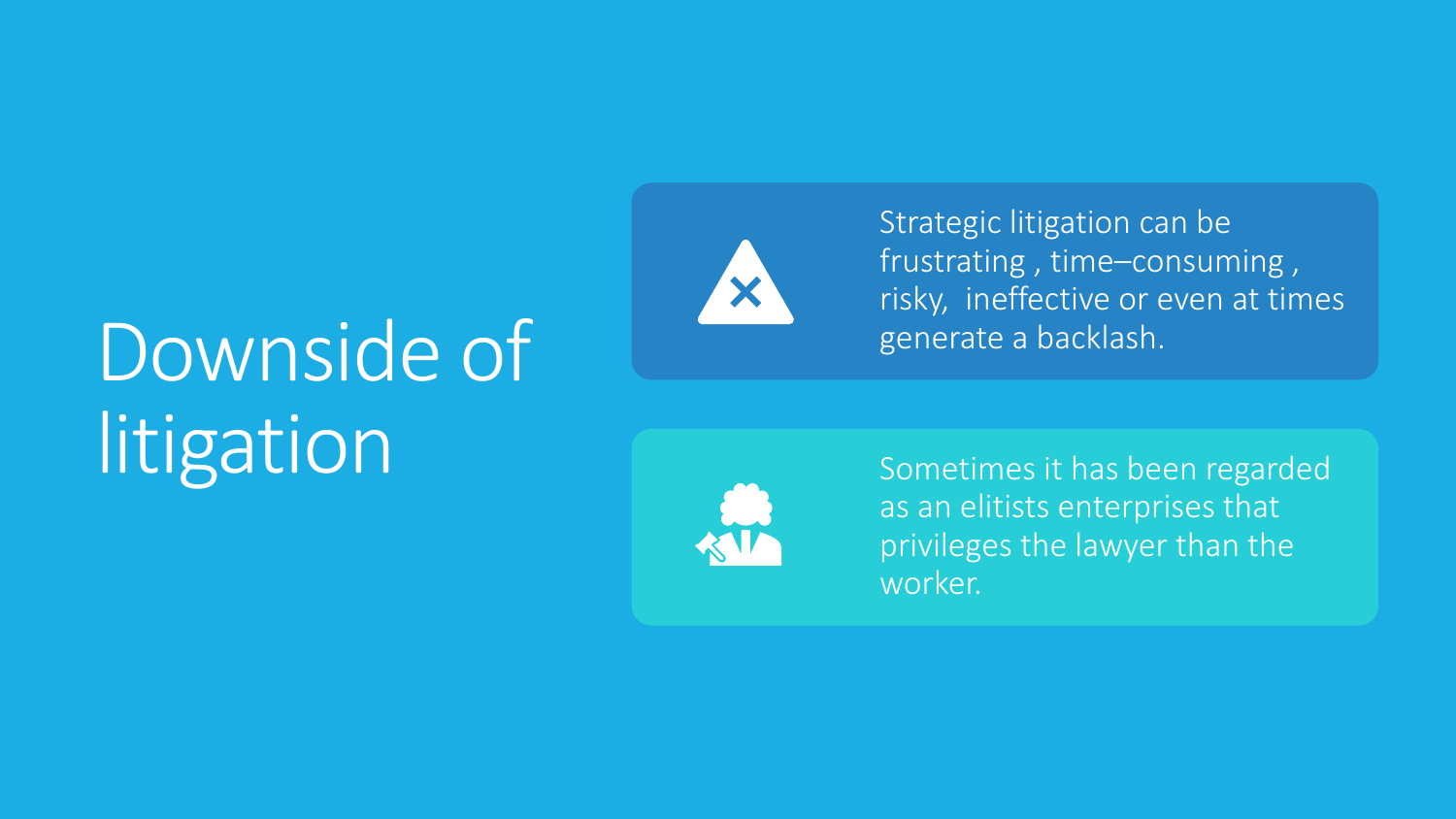# Downside of **litigation**



Strategic litigation can be frustrating , time –consuming , risky, ineffective or even at times generate a backlash.



Sometimes it has been regarded as an elitists enterprises that privileges the lawyer than the worker.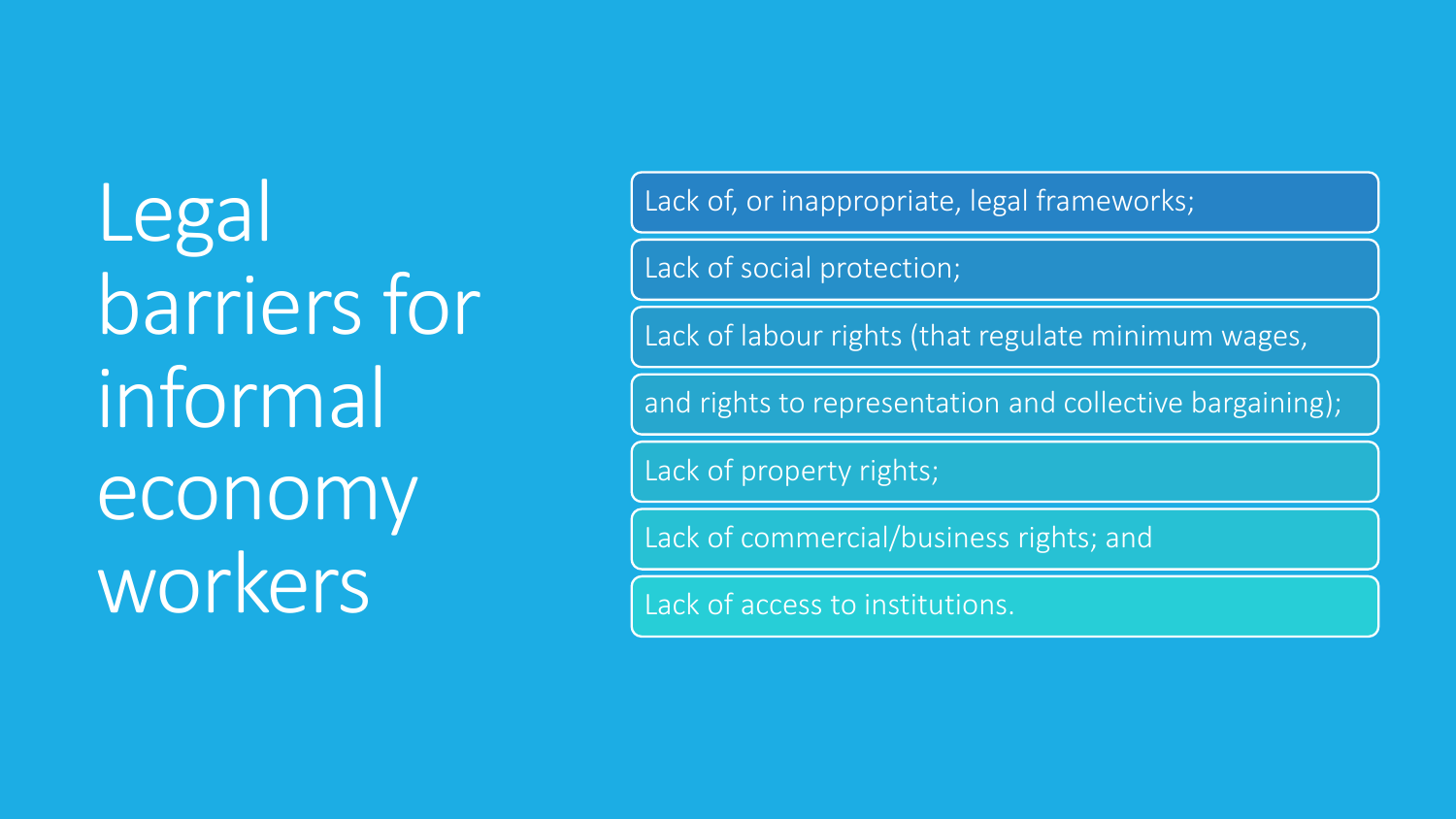**Legal** barriers for informal economy workers

Lack of, or inappropriate, legal frameworks;

Lack of social protection;

Lack of labour rights (that regulate minimum wages,

and rights to representation and collective bargaining);

Lack of property rights;

Lack of commercial/business rights; and

Lack of access to institutions.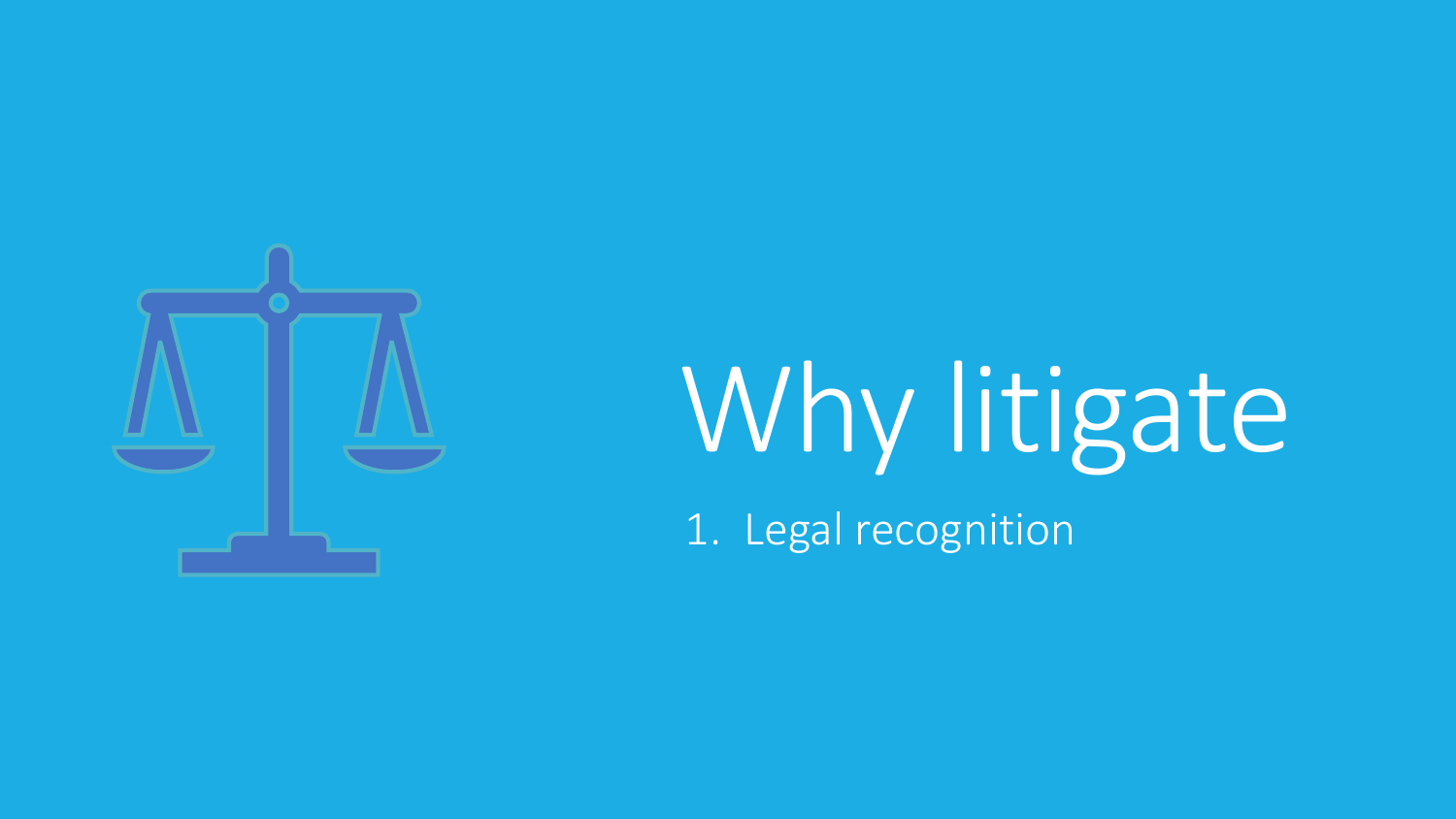

# Why litigate 1. Legal recognition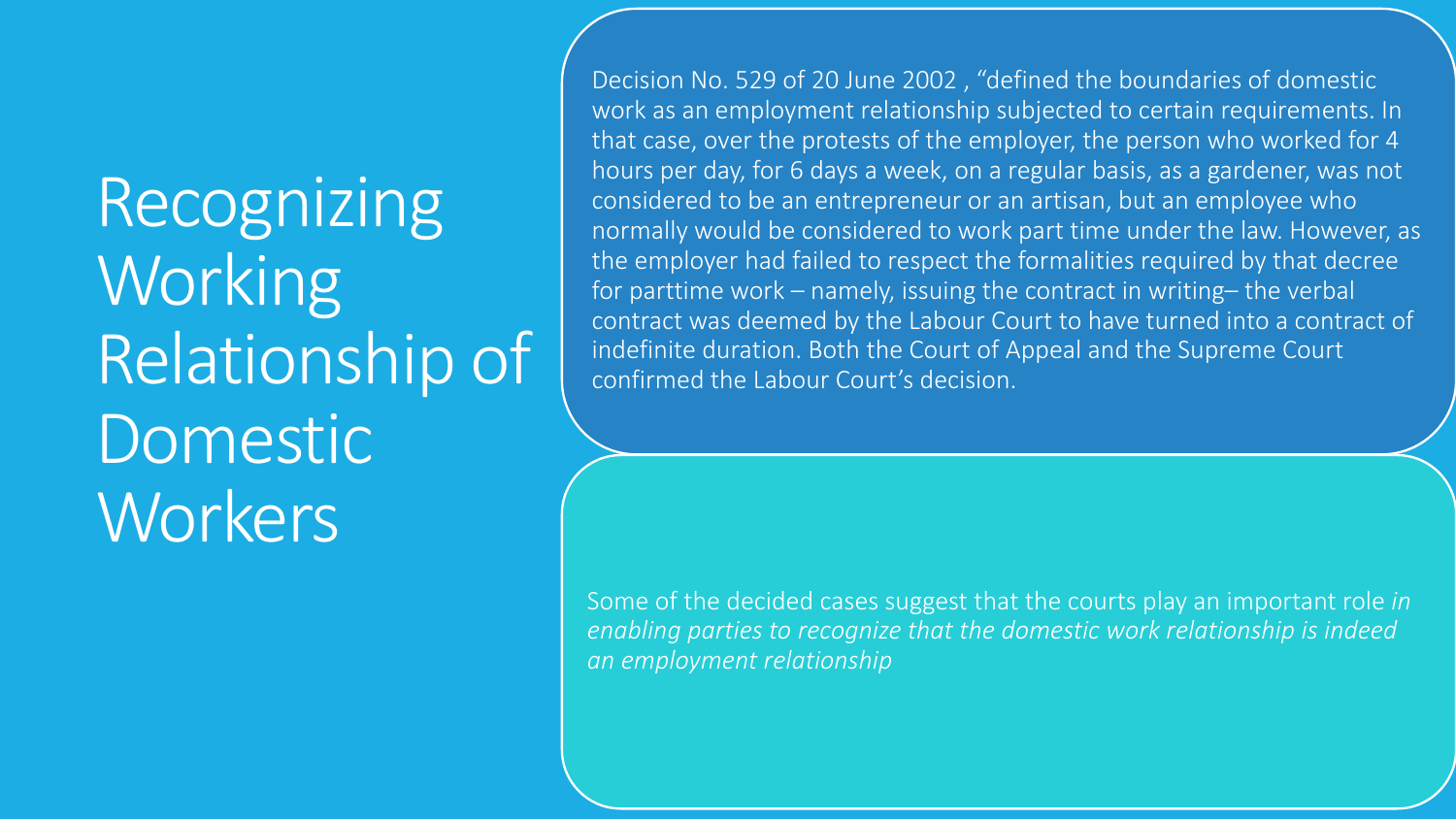Recognizing Working Relationship of Domestic **Workers** 

Decision No. 529 of 20 June 2002 , "defined the boundaries of domestic work as an employment relationship subjected to certain requirements. In that case, over the protests of the employer, the person who worked for 4 hours per day, for 6 days a week, on a regular basis, as a gardener, was not considered to be an entrepreneur or an artisan, but an employee who normally would be considered to work part time under the law. However, as the employer had failed to respect the formalities required by that decree for parttime work – namely, issuing the contract in writing– the verbal contract was deemed by the Labour Court to have turned into a contract of indefinite duration. Both the Court of Appeal and the Supreme Court confirmed the Labour Court's decision.

Some of the decided cases suggest that the courts play an important role *in enabling parties to recognize that the domestic work relationship is indeed an employment relationship*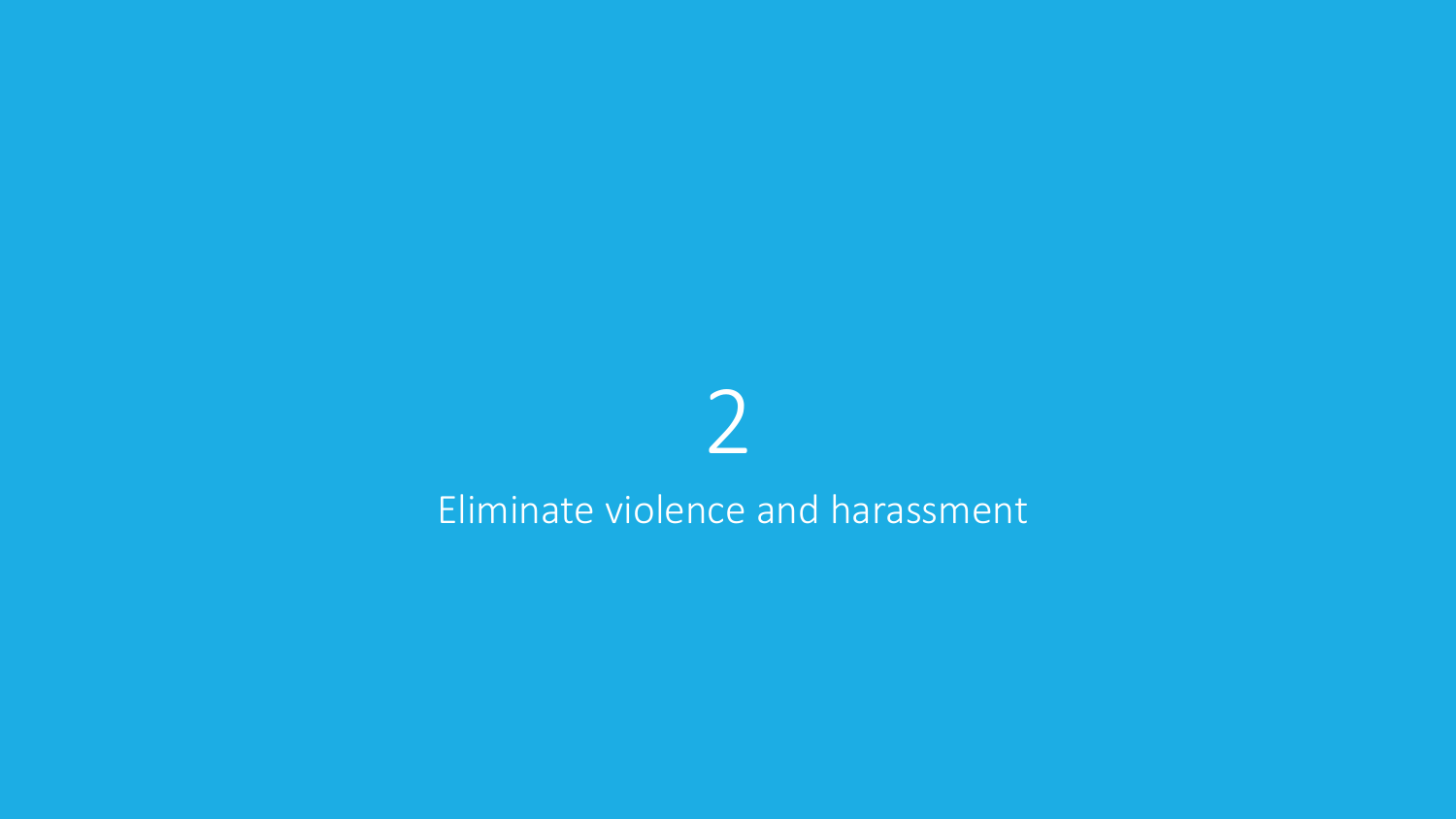

#### Eliminate violence and harassment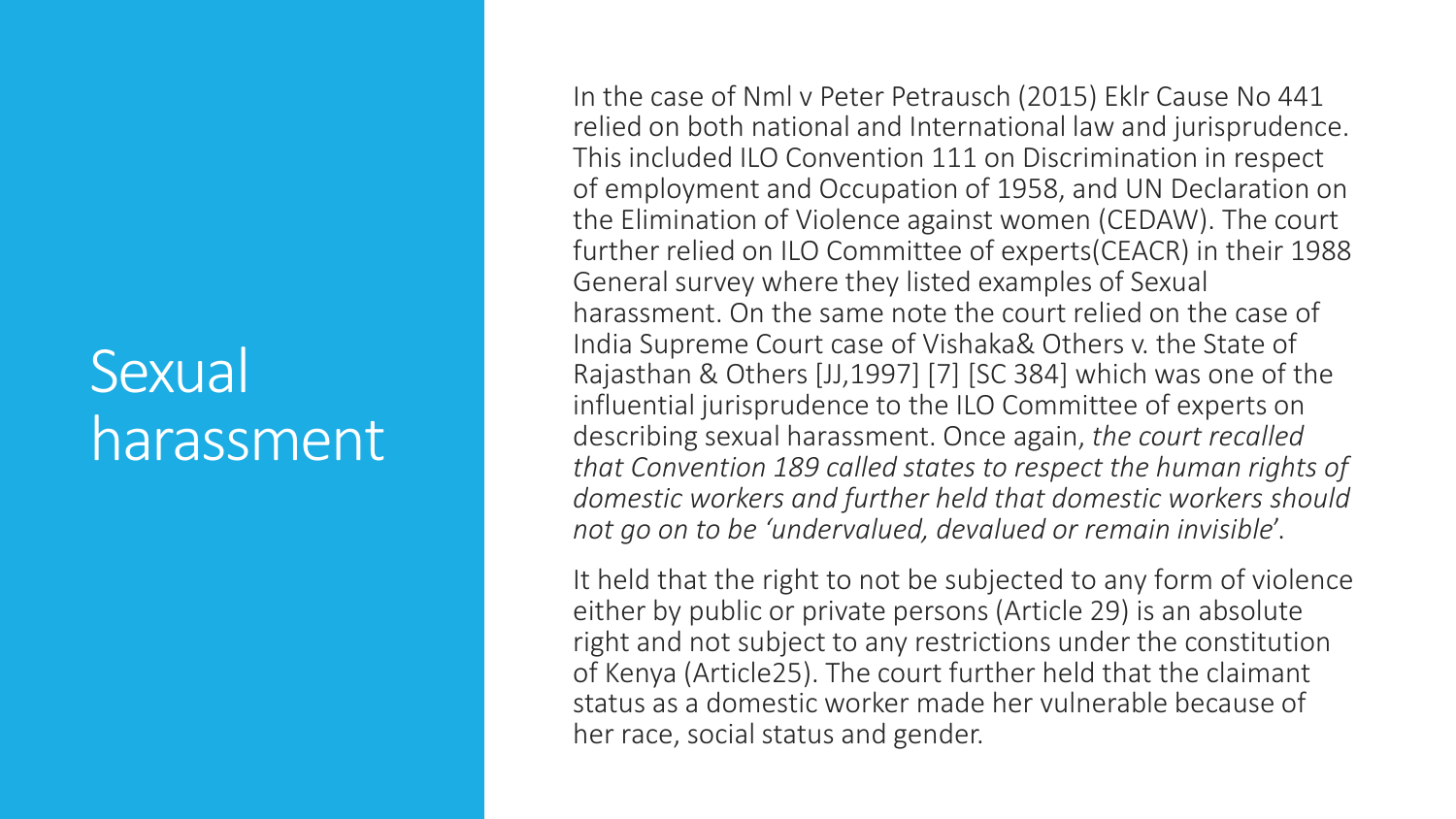#### **Sexual** harassment

In the case of Nml v Peter Petrausch (2015) Eklr Cause No 441 relied on both national and International law and jurisprudence. This included ILO Convention 111 on Discrimination in respect of employment and Occupation of 1958, and UN Declaration on the Elimination of Violence against women (CEDAW). The court further relied on ILO Committee of experts(CEACR) in their 1988 General survey where they listed examples of Sexual harassment. On the same note the court relied on the case of India Supreme Court case of Vishaka& Others v. the State of Rajasthan & Others [JJ,1997] [7] [SC 384] which was one of the influential jurisprudence to the ILO Committee of experts on describing sexual harassment. Once again, *the court recalled that Convention 189 called states to respect the human rights of domestic workers and further held that domestic workers should not go on to be 'undervalued, devalued or remain invisible*'.

It held that the right to not be subjected to any form of violence either by public or private persons (Article 29) is an absolute right and not subject to any restrictions under the constitution of Kenya (Article25). The court further held that the claimant status as a domestic worker made her vulnerable because of her race, social status and gender.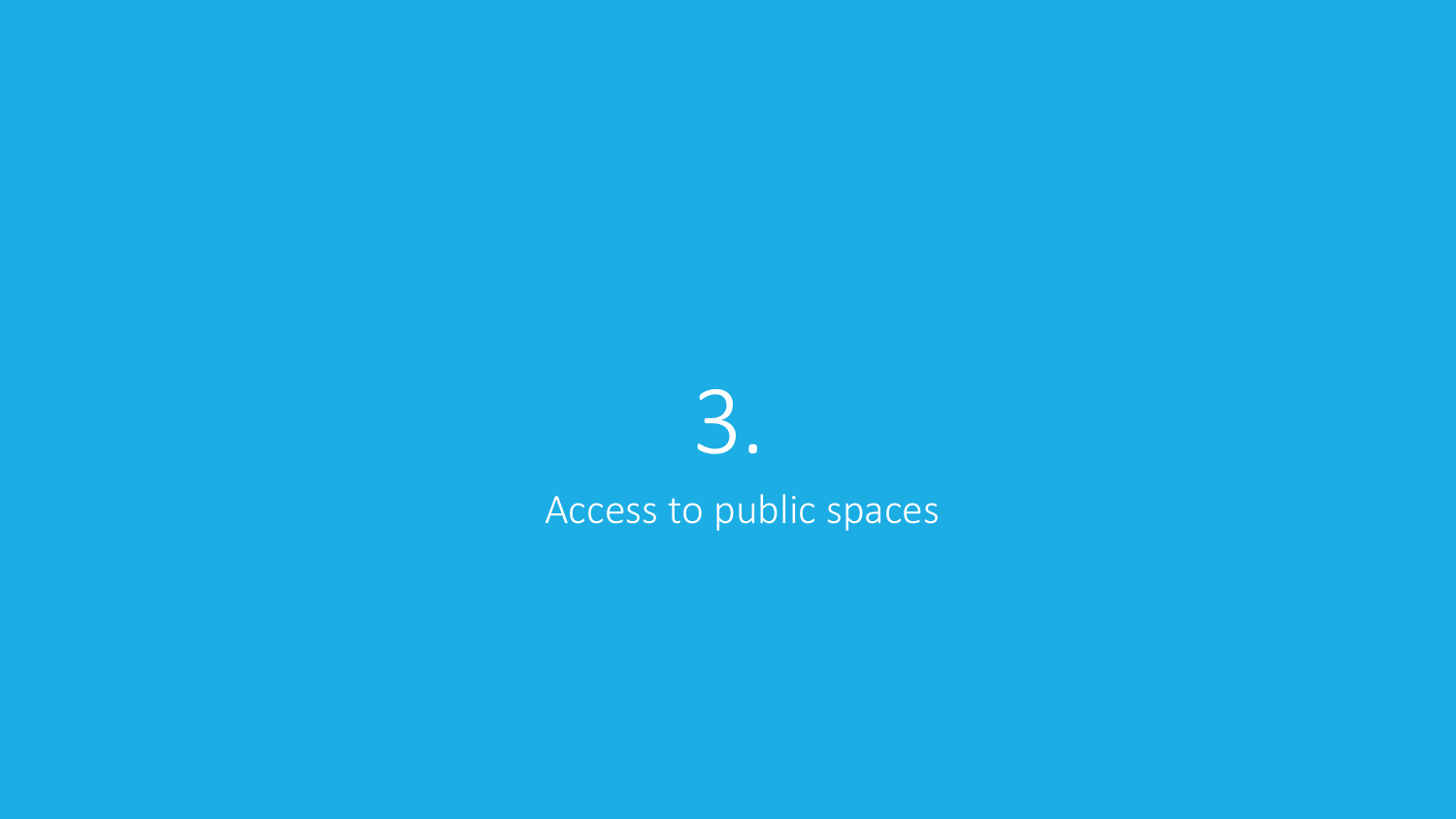# 3.

Access to public spaces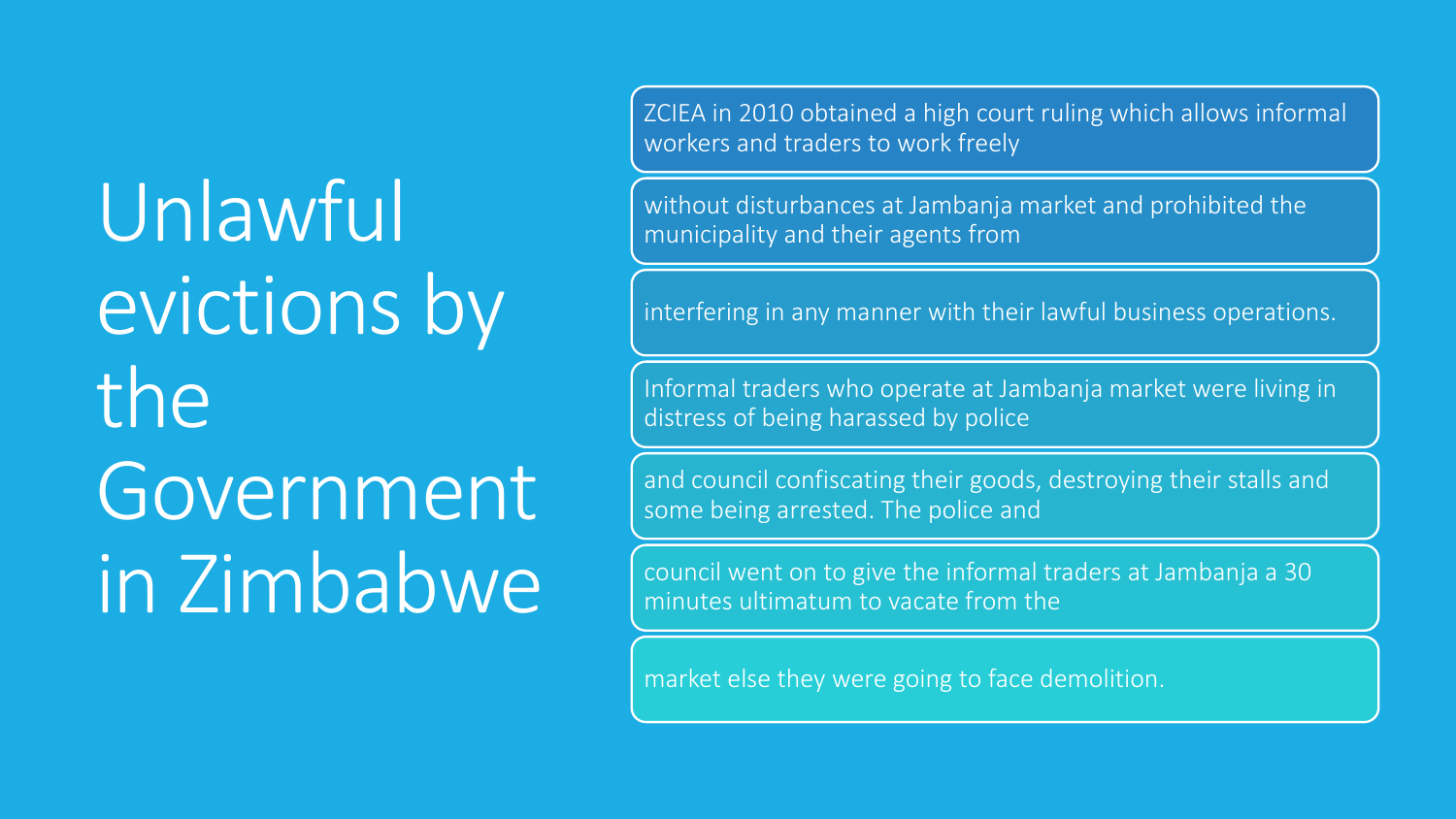Unlawful evictions by the Government in Zimbabwe ZCIEA in 2010 obtained a high court ruling which allows informal workers and traders to work freely

without disturbances at Jambanja market and prohibited the municipality and their agents from

interfering in any manner with their lawful business operations.

Informal traders who operate at Jambanja market were living in distress of being harassed by police

and council confiscating their goods, destroying their stalls and some being arrested. The police and

council went on to give the informal traders at Jambanja a 30 minutes ultimatum to vacate from the

market else they were going to face demolition.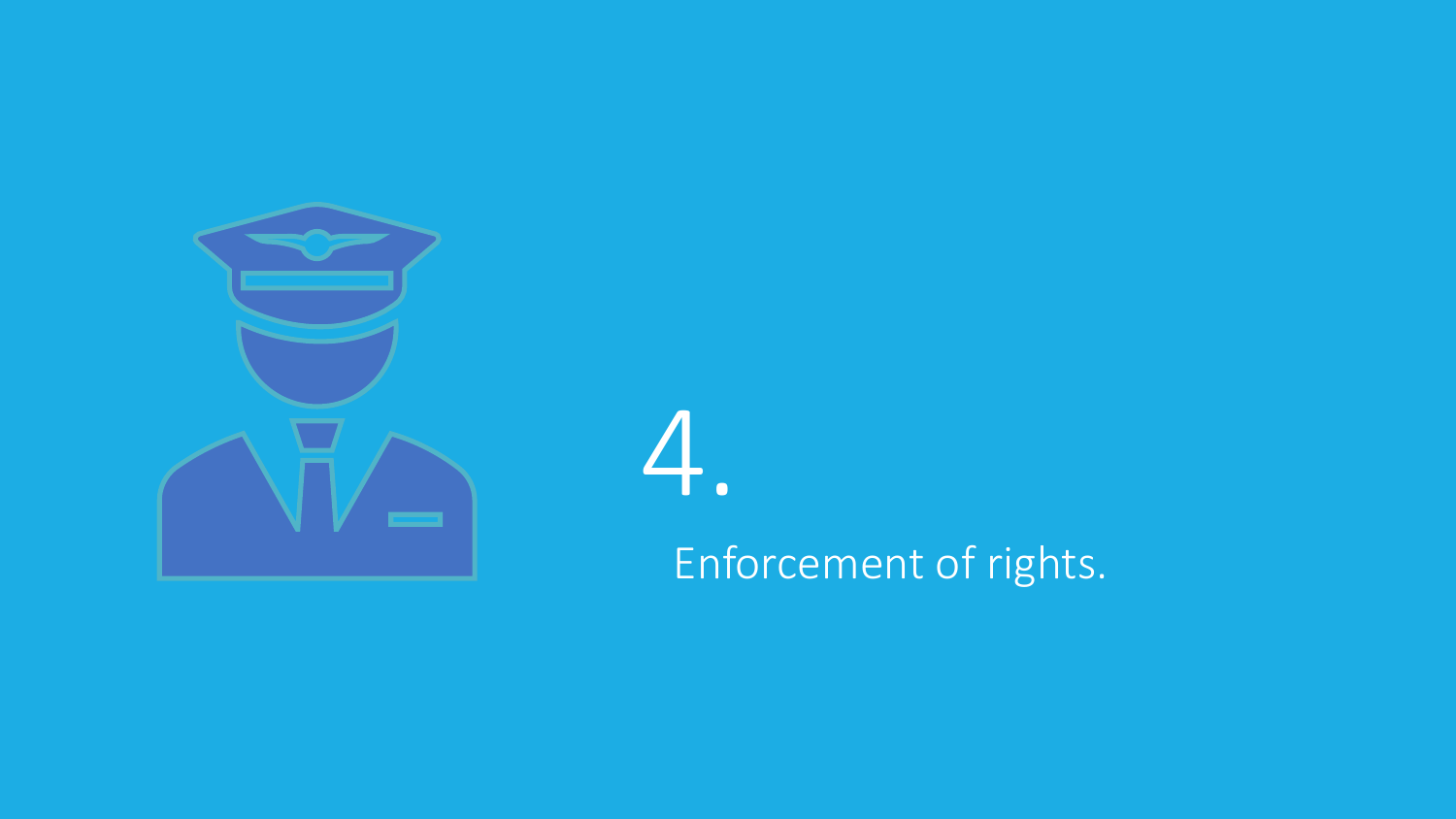



Enforcement of rights.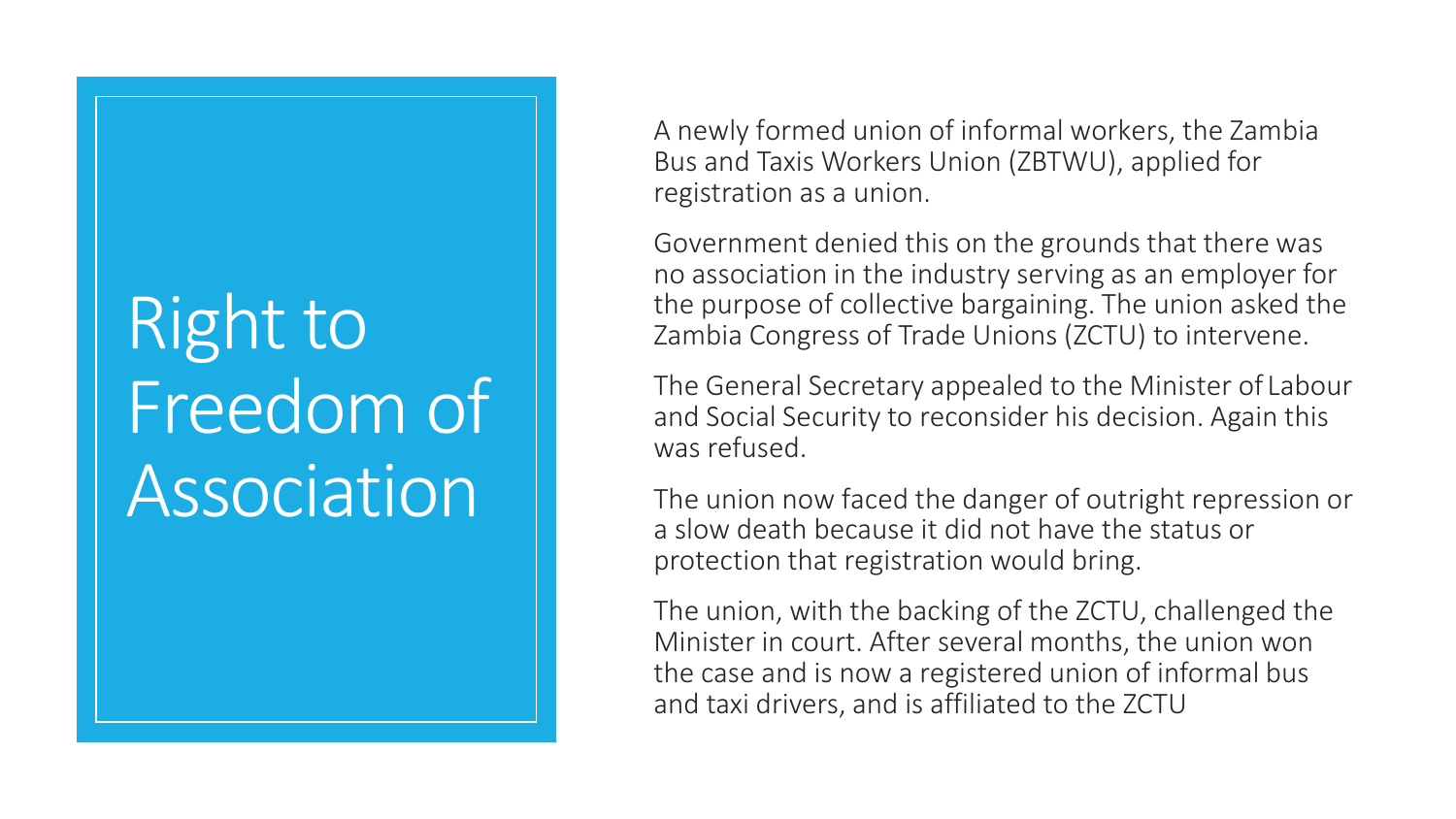## Right to Freedom of **Association**

A newly formed union of informal workers, the Zambia Bus and Taxis Workers Union (ZBTWU), applied for registration as a union.

Government denied this on the grounds that there was no association in the industry serving as an employer for the purpose of collective bargaining. The union asked the Zambia Congress of Trade Unions (ZCTU) to intervene.

The General Secretary appealed to the Minister of Labour and Social Security to reconsider his decision. Again this was refused.

The union now faced the danger of outright repression or a slow death because it did not have the status or protection that registration would bring.

The union, with the backing of the ZCTU, challenged the Minister in court. After several months, the union won the case and is now a registered union of informal bus and taxi drivers, and is affiliated to the ZCTU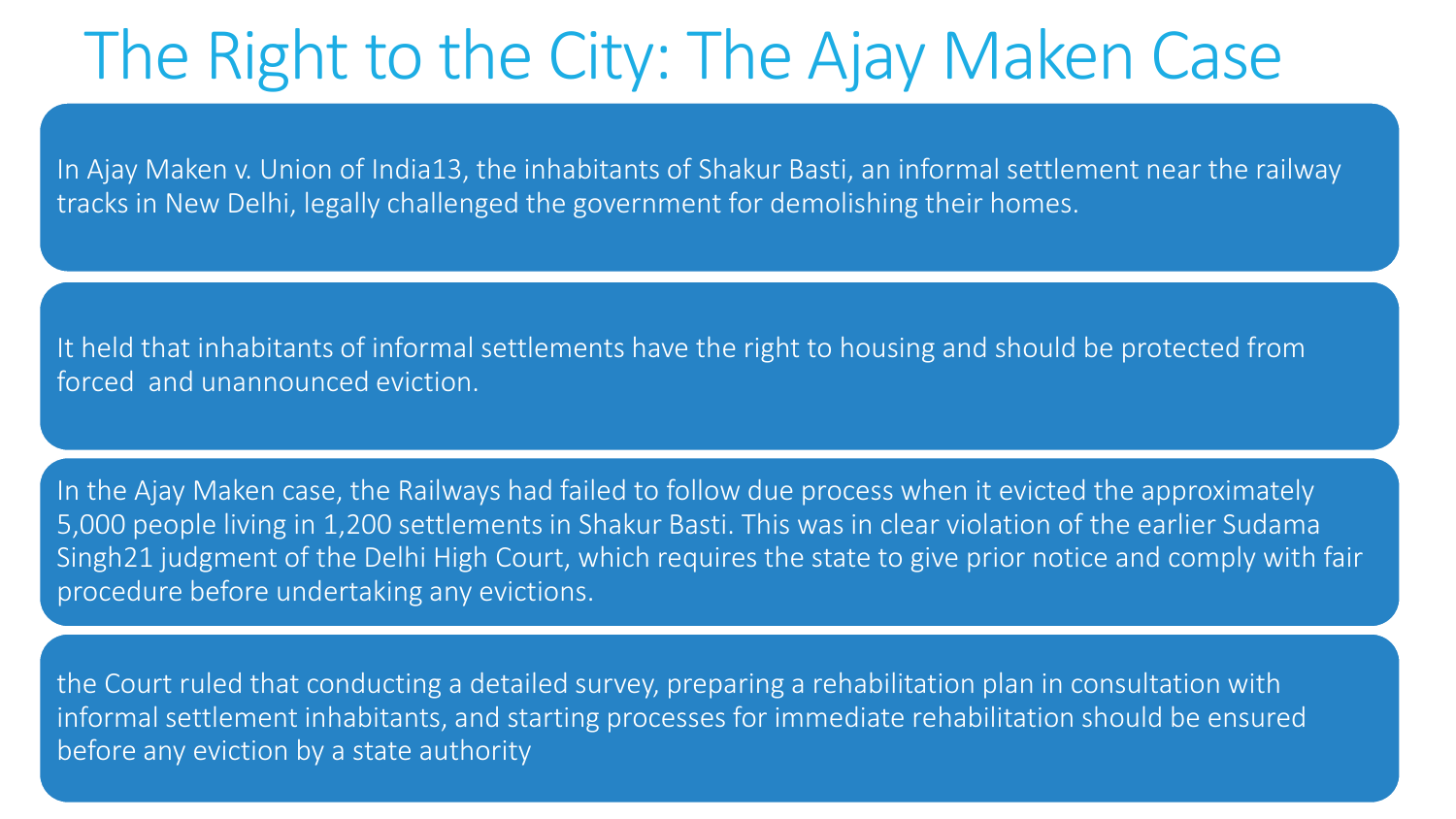### The Right to the City: The Ajay Maken Case

In Ajay Maken v. Union of India13, the inhabitants of Shakur Basti, an informal settlement near the railway tracks in New Delhi, legally challenged the government for demolishing their homes.

It held that inhabitants of informal settlements have the right to housing and should be protected from forced and unannounced eviction.

In the Ajay Maken case, the Railways had failed to follow due process when it evicted the approximately 5,000 people living in 1,200 settlements in Shakur Basti. This was in clear violation of the earlier Sudama Singh21 judgment of the Delhi High Court, which requires the state to give prior notice and comply with fair procedure before undertaking any evictions.

the Court ruled that conducting a detailed survey, preparing a rehabilitation plan in consultation with informal settlement inhabitants, and starting processes for immediate rehabilitation should be ensured before any eviction by a state authority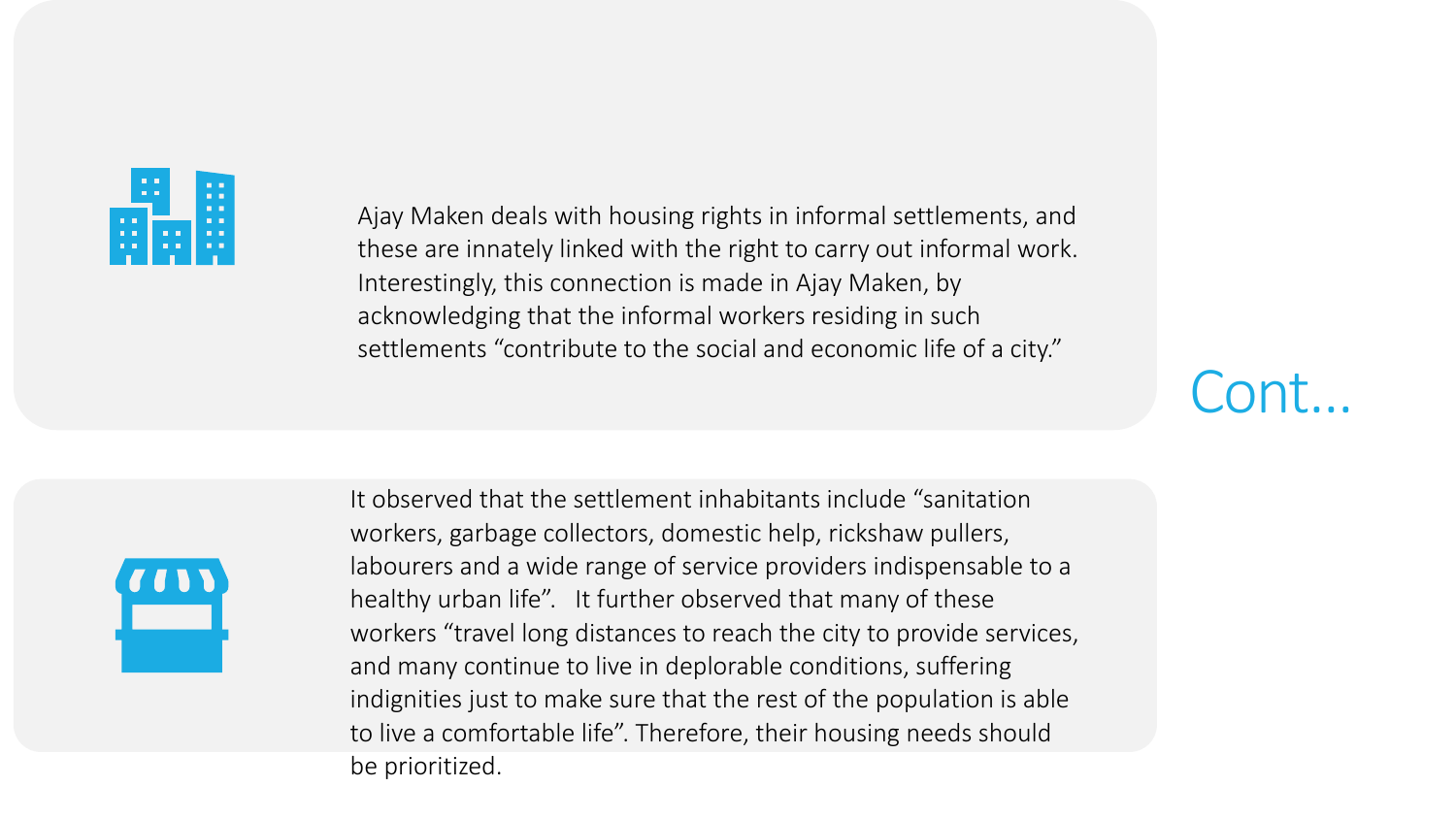

Ajay Maken deals with housing rights in informal settlements, and these are innately linked with the right to carry out informal work. Interestingly, this connection is made in Ajay Maken, by acknowledging that the informal workers residing in such settlements "contribute to the social and economic life of a city."

Cont…



It observed that the settlement inhabitants include "sanitation workers, garbage collectors, domestic help, rickshaw pullers, labourers and a wide range of service providers indispensable to a healthy urban life". It further observed that many of these workers "travel long distances to reach the city to provide services, and many continue to live in deplorable conditions, suffering indignities just to make sure that the rest of the population is able to live a comfortable life". Therefore, their housing needs should be prioritized.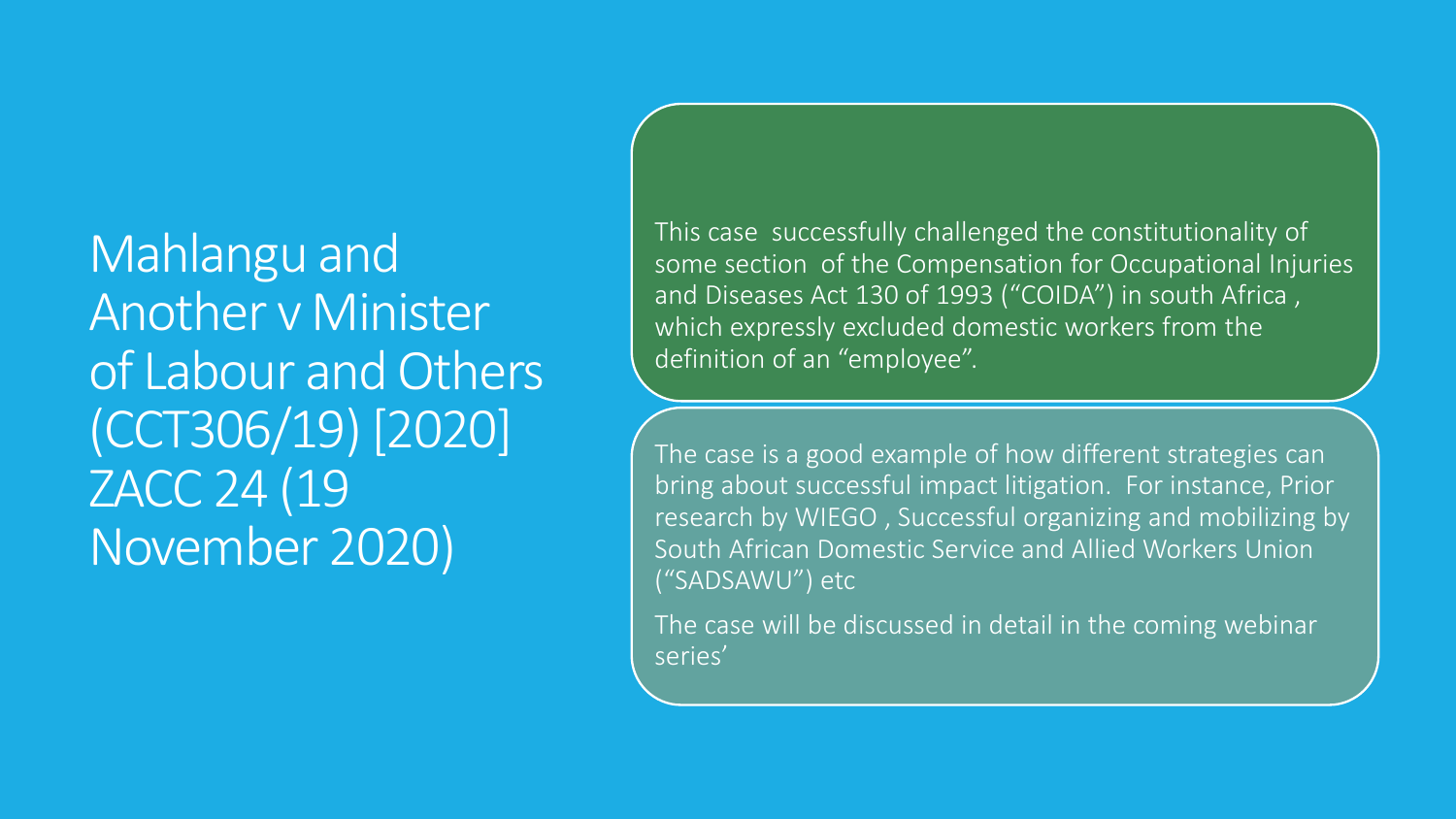Mahlangu and Another v Minister of Labour and Others (CCT306/19) [2020] ZACC 24 (19 November 2020)

This case successfully challenged the constitutionality of some section of the Compensation for Occupational Injuries and Diseases Act 130 of 1993 ("COIDA") in south Africa , which expressly excluded domestic workers from the definition of an "employee".

The case is a good example of how different strategies can bring about successful impact litigation. For instance, Prior research by WIEGO , Successful organizing and mobilizing by South African Domestic Service and Allied Workers Union ("SADSAWU") etc

The case will be discussed in detail in the coming webinar series'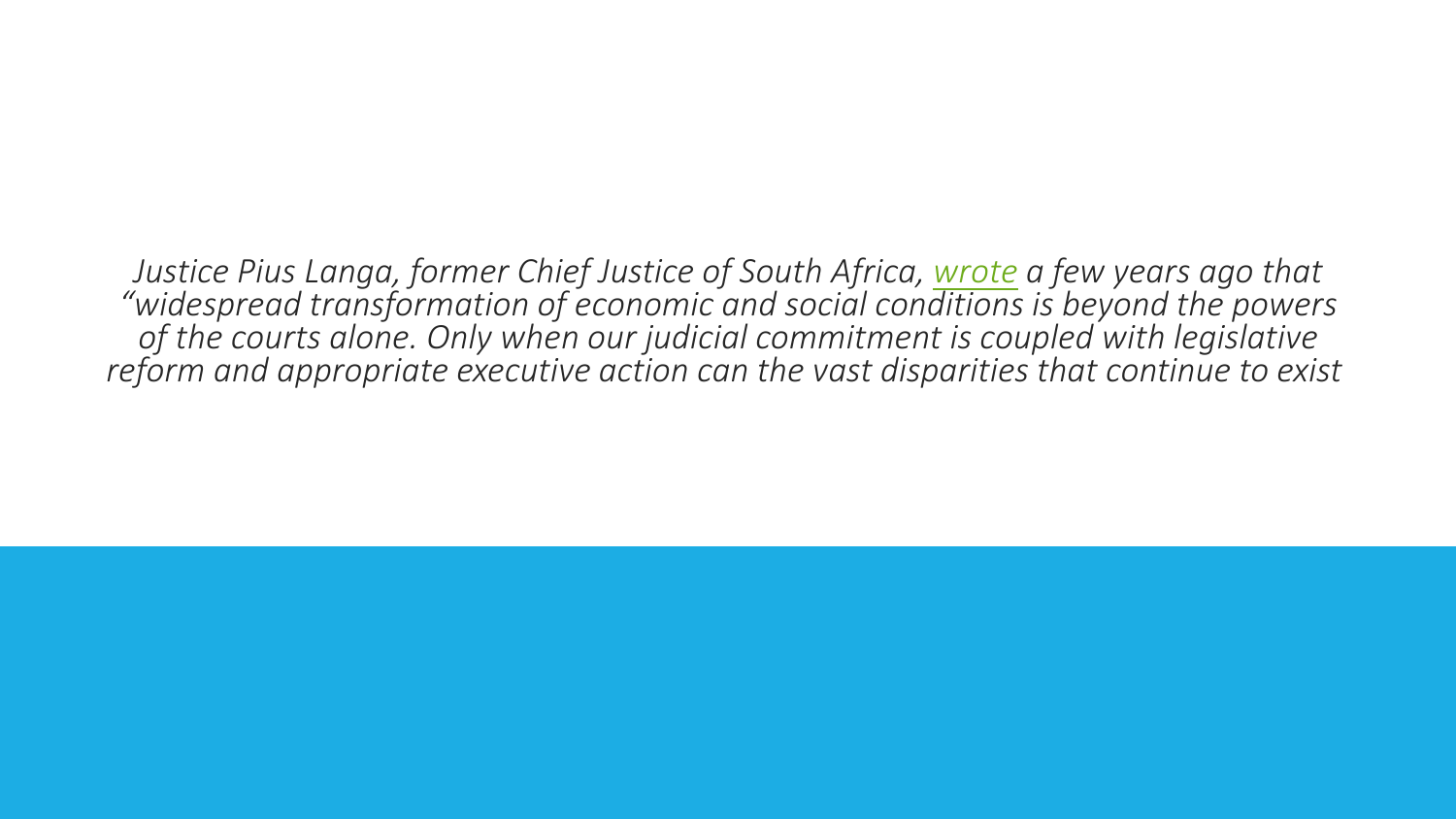*Justice Pius Langa, former Chief Justice of South Africa, [wrote](https://www.sun.ac.za/english/learning-teaching/ctl/Documents/Transformative%20constitutionalism.pdf) a few years ago that "widespread transformation of economic and social conditions is beyond the powers of the courts alone. Only when our judicial commitment is coupled with legislative reform and appropriate executive action can the vast disparities that continue to exist*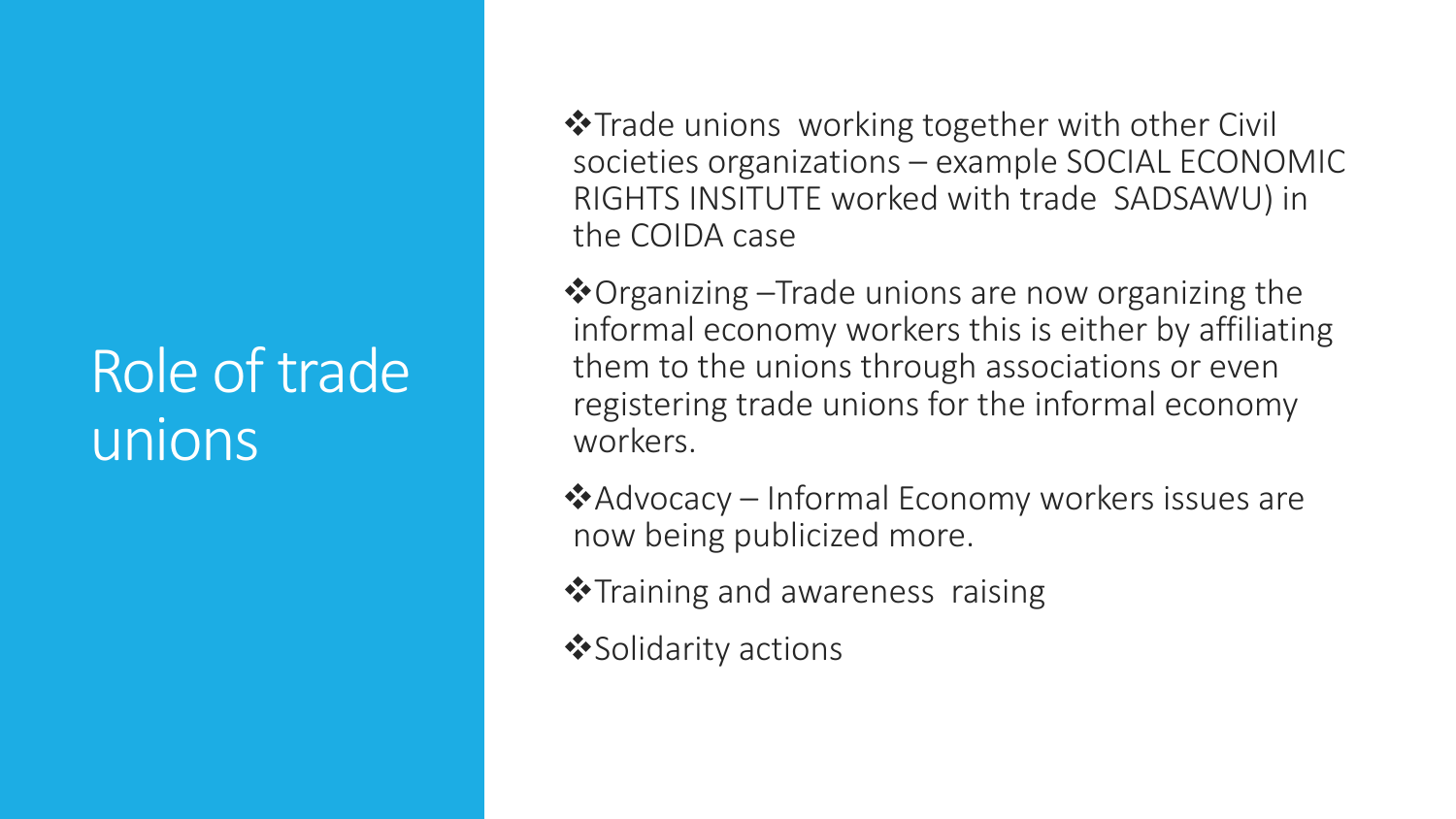### Role of trade unions

**\***Trade unions working together with other Civil societies organizations – example SOCIAL ECONOMIC RIGHTS INSITUTE worked with trade SADSAWU) in the COIDA case

 $\dots$  Organizing –Trade unions are now organizing the informal economy workers this is either by affiliating them to the unions through associations or even registering trade unions for the informal economy workers.

Advocacy – Informal Economy workers issues are now being publicized more.

 **\***Training and awareness raising

 $\diamond$  Solidarity actions